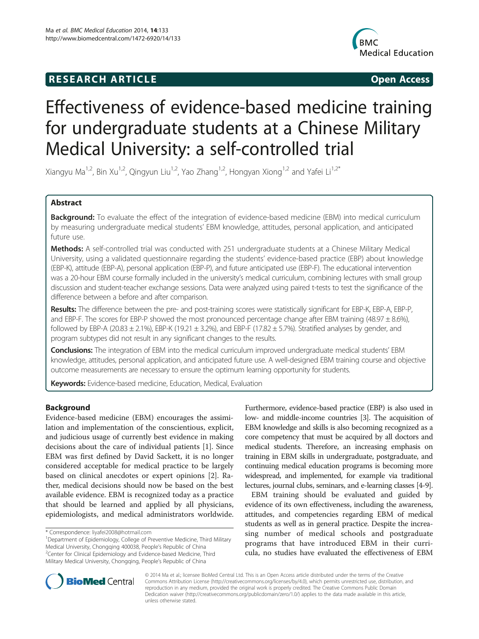# **RESEARCH ARTICLE Example 2018 12:00 Open Access**



# Effectiveness of evidence-based medicine training for undergraduate students at a Chinese Military Medical University: a self-controlled trial

Xiangyu Ma<sup>1,2</sup>, Bin Xu<sup>1,2</sup>, Qingyun Liu<sup>1,2</sup>, Yao Zhang<sup>1,2</sup>, Hongyan Xiong<sup>1,2</sup> and Yafei Li<sup>1,2\*</sup>

# Abstract

Background: To evaluate the effect of the integration of evidence-based medicine (EBM) into medical curriculum by measuring undergraduate medical students' EBM knowledge, attitudes, personal application, and anticipated future use.

Methods: A self-controlled trial was conducted with 251 undergraduate students at a Chinese Military Medical University, using a validated questionnaire regarding the students' evidence-based practice (EBP) about knowledge (EBP-K), attitude (EBP-A), personal application (EBP-P), and future anticipated use (EBP-F). The educational intervention was a 20-hour EBM course formally included in the university's medical curriculum, combining lectures with small group discussion and student-teacher exchange sessions. Data were analyzed using paired t-tests to test the significance of the difference between a before and after comparison.

Results: The difference between the pre- and post-training scores were statistically significant for EBP-K, EBP-A, EBP-P, and EBP-F. The scores for EBP-P showed the most pronounced percentage change after EBM training (48.97  $\pm$  8.6%), followed by EBP-A (20.83  $\pm$  2.1%), EBP-K (19.21  $\pm$  3.2%), and EBP-F (17.82  $\pm$  5.7%). Stratified analyses by gender, and program subtypes did not result in any significant changes to the results.

Conclusions: The integration of EBM into the medical curriculum improved undergraduate medical students' EBM knowledge, attitudes, personal application, and anticipated future use. A well-designed EBM training course and objective outcome measurements are necessary to ensure the optimum learning opportunity for students.

Keywords: Evidence-based medicine, Education, Medical, Evaluation

# Background

Evidence-based medicine (EBM) encourages the assimilation and implementation of the conscientious, explicit, and judicious usage of currently best evidence in making decisions about the care of individual patients [\[1\]](#page-3-0). Since EBM was first defined by David Sackett, it is no longer considered acceptable for medical practice to be largely based on clinical anecdotes or expert opinions [[2\]](#page-3-0). Rather, medical decisions should now be based on the best available evidence. EBM is recognized today as a practice that should be learned and applied by all physicians, epidemiologists, and medical administrators worldwide.

Military Medical University, Chongqing, People's Republic of China

Furthermore, evidence-based practice (EBP) is also used in low- and middle-income countries [\[3\]](#page-3-0). The acquisition of EBM knowledge and skills is also becoming recognized as a core competency that must be acquired by all doctors and medical students. Therefore, an increasing emphasis on training in EBM skills in undergraduate, postgraduate, and continuing medical education programs is becoming more widespread, and implemented, for example via traditional lectures, journal clubs, seminars, and e-learning classes [\[4-9](#page-3-0)].

EBM training should be evaluated and guided by evidence of its own effectiveness, including the awareness, attitudes, and competencies regarding EBM of medical students as well as in general practice. Despite the increasing number of medical schools and postgraduate programs that have introduced EBM in their curricula, no studies have evaluated the effectiveness of EBM



© 2014 Ma et al.; licensee BioMed Central Ltd. This is an Open Access article distributed under the terms of the Creative Commons Attribution License [\(http://creativecommons.org/licenses/by/4.0\)](http://creativecommons.org/licenses/by/4.0), which permits unrestricted use, distribution, and reproduction in any medium, provided the original work is properly credited. The Creative Commons Public Domain Dedication waiver [\(http://creativecommons.org/publicdomain/zero/1.0/](http://creativecommons.org/publicdomain/zero/1.0/)) applies to the data made available in this article, unless otherwise stated.

<sup>\*</sup> Correspondence: [liyafei2008@hotmail.com](mailto:liyafei2008@hotmail.com) <sup>1</sup>

Department of Epidemiology, College of Preventive Medicine, Third Military Medical University, Chongqing 400038, People's Republic of China <sup>2</sup> Center for Clinical Epidemiology and Evidence-based Medicine, Third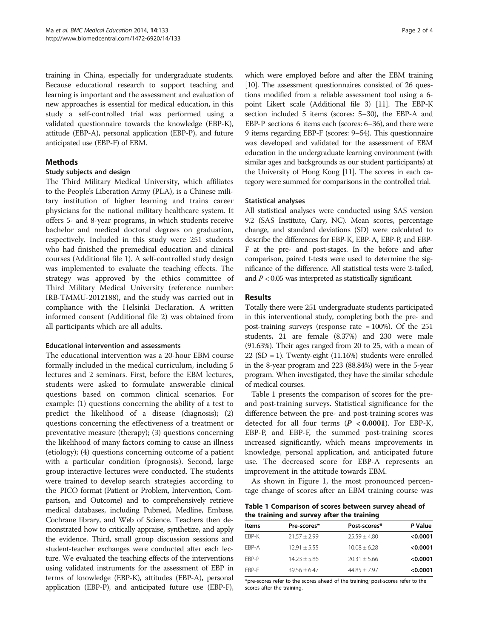training in China, especially for undergraduate students. Because educational research to support teaching and learning is important and the assessment and evaluation of new approaches is essential for medical education, in this study a self-controlled trial was performed using a validated questionnaire towards the knowledge (EBP-K), attitude (EBP-A), personal application (EBP-P), and future anticipated use (EBP-F) of EBM.

# **Methods**

### Study subjects and design

The Third Military Medical University, which affiliates to the People's Liberation Army (PLA), is a Chinese military institution of higher learning and trains career physicians for the national military healthcare system. It offers 5- and 8-year programs, in which students receive bachelor and medical doctoral degrees on graduation, respectively. Included in this study were 251 students who had finished the premedical education and clinical courses (Additional file [1\)](#page-3-0). A self-controlled study design was implemented to evaluate the teaching effects. The strategy was approved by the ethics committee of Third Military Medical University (reference number: IRB-TMMU-2012188), and the study was carried out in compliance with the Helsinki Declaration. A written informed consent (Additional file [2](#page-3-0)) was obtained from all participants which are all adults.

# Educational intervention and assessments

The educational intervention was a 20-hour EBM course formally included in the medical curriculum, including 5 lectures and 2 seminars. First, before the EBM lectures, students were asked to formulate answerable clinical questions based on common clinical scenarios. For example: (1) questions concerning the ability of a test to predict the likelihood of a disease (diagnosis); (2) questions concerning the effectiveness of a treatment or preventative measure (therapy); (3) questions concerning the likelihood of many factors coming to cause an illness (etiology); (4) questions concerning outcome of a patient with a particular condition (prognosis). Second, large group interactive lectures were conducted. The students were trained to develop search strategies according to the PICO format (Patient or Problem, Intervention, Comparison, and Outcome) and to comprehensively retrieve medical databases, including Pubmed, Medline, Embase, Cochrane library, and Web of Science. Teachers then demonstrated how to critically appraise, synthetize, and apply the evidence. Third, small group discussion sessions and student-teacher exchanges were conducted after each lecture. We evaluated the teaching effects of the interventions using validated instruments for the assessment of EBP in terms of knowledge (EBP-K), attitudes (EBP-A), personal application (EBP-P), and anticipated future use (EBP-F),

which were employed before and after the EBM training [[10](#page-3-0)]. The assessment questionnaires consisted of 26 questions modified from a reliable assessment tool using a 6 point Likert scale (Additional file [3](#page-3-0)) [\[11\]](#page-3-0). The EBP-K section included 5 items (scores: 5–30), the EBP-A and EBP-P sections 6 items each (scores: 6–36), and there were 9 items regarding EBP-F (scores: 9–54). This questionnaire was developed and validated for the assessment of EBM education in the undergraduate learning environment (with similar ages and backgrounds as our student participants) at the University of Hong Kong [[11](#page-3-0)]. The scores in each category were summed for comparisons in the controlled trial.

### Statistical analyses

All statistical analyses were conducted using SAS version 9.2 (SAS Institute, Cary, NC). Mean scores, percentage change, and standard deviations (SD) were calculated to describe the differences for EBP-K, EBP-A, EBP-P, and EBP-F at the pre- and post-stages. In the before and after comparison, paired t-tests were used to determine the significance of the difference. All statistical tests were 2-tailed, and  $P < 0.05$  was interpreted as statistically significant.

# Results

Totally there were 251 undergraduate students participated in this interventional study, completing both the pre- and post-training surveys (response rate = 100%). Of the 251 students, 21 are female (8.37%) and 230 were male (91.63%). Their ages ranged from 20 to 25, with a mean of 22 (SD = 1). Twenty-eight (11.16%) students were enrolled in the 8-year program and 223 (88.84%) were in the 5-year program. When investigated, they have the similar schedule of medical courses.

Table 1 presents the comparison of scores for the preand post-training surveys. Statistical significance for the difference between the pre- and post-training scores was detected for all four terms  $(P < 0.0001)$ . For EBP-K, EBP-P, and EBP-F, the summed post-training scores increased significantly, which means improvements in knowledge, personal application, and anticipated future use. The decreased score for EBP-A represents an improvement in the attitude towards EBM.

As shown in Figure [1,](#page-2-0) the most pronounced percentage change of scores after an EBM training course was

| Table 1 Comparison of scores between survey ahead of |
|------------------------------------------------------|
| the training and survey after the training           |

| <b>Items</b> | Pre-scores*    | Post-scores*   | P Value  |
|--------------|----------------|----------------|----------|
| FRP-K        | $71.57 + 2.99$ | $25.59 + 4.80$ | < 0.0001 |
| FRP-A        | $12.91 + 5.55$ | $10.08 + 6.28$ | < 0.0001 |
| FRP-P        | $14.23 + 5.86$ | $20.31 + 5.66$ | < 0.0001 |
| FRP-F        | $39.56 + 6.47$ | $44.85 + 7.97$ | < 0.0001 |

\*pre-scores refer to the scores ahead of the training; post-scores refer to the scores after the training.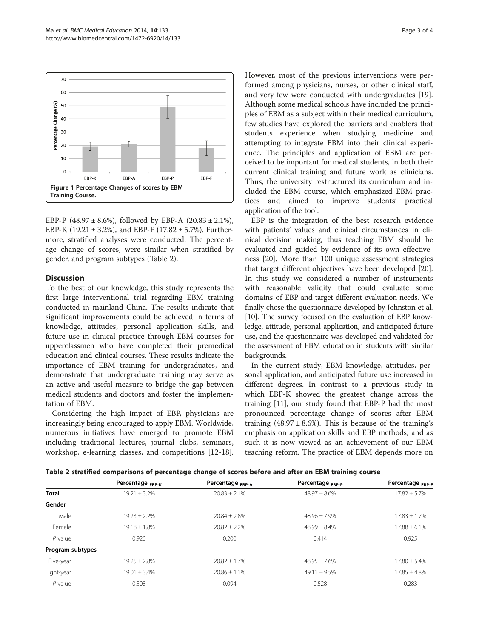<span id="page-2-0"></span>

EBP-P (48.97  $\pm$  8.6%), followed by EBP-A (20.83  $\pm$  2.1%), EBP-K (19.21  $\pm$  3.2%), and EBP-F (17.82  $\pm$  5.7%). Furthermore, stratified analyses were conducted. The percentage change of scores, were similar when stratified by gender, and program subtypes (Table 2).

### **Discussion**

To the best of our knowledge, this study represents the first large interventional trial regarding EBM training conducted in mainland China. The results indicate that significant improvements could be achieved in terms of knowledge, attitudes, personal application skills, and future use in clinical practice through EBM courses for upperclassmen who have completed their premedical education and clinical courses. These results indicate the importance of EBM training for undergraduates, and demonstrate that undergraduate training may serve as an active and useful measure to bridge the gap between medical students and doctors and foster the implementation of EBM.

Considering the high impact of EBP, physicians are increasingly being encouraged to apply EBM. Worldwide, numerous initiatives have emerged to promote EBM including traditional lectures, journal clubs, seminars, workshop, e-learning classes, and competitions [[12-18](#page-3-0)]. However, most of the previous interventions were performed among physicians, nurses, or other clinical staff, and very few were conducted with undergraduates [\[19](#page-3-0)]. Although some medical schools have included the principles of EBM as a subject within their medical curriculum, few studies have explored the barriers and enablers that students experience when studying medicine and attempting to integrate EBM into their clinical experience. The principles and application of EBM are perceived to be important for medical students, in both their current clinical training and future work as clinicians. Thus, the university restructured its curriculum and included the EBM course, which emphasized EBM practices and aimed to improve students' practical application of the tool.

EBP is the integration of the best research evidence with patients' values and clinical circumstances in clinical decision making, thus teaching EBM should be evaluated and guided by evidence of its own effectiveness [[20\]](#page-3-0). More than 100 unique assessment strategies that target different objectives have been developed [\[20](#page-3-0)]. In this study we considered a number of instruments with reasonable validity that could evaluate some domains of EBP and target different evaluation needs. We finally chose the questionnaire developed by Johnston et al. [[10](#page-3-0)]. The survey focused on the evaluation of EBP knowledge, attitude, personal application, and anticipated future use, and the questionnaire was developed and validated for the assessment of EBM education in students with similar backgrounds.

In the current study, EBM knowledge, attitudes, personal application, and anticipated future use increased in different degrees. In contrast to a previous study in which EBP-K showed the greatest change across the training [[11](#page-3-0)], our study found that EBP-P had the most pronounced percentage change of scores after EBM training  $(48.97 \pm 8.6\%)$ . This is because of the training's emphasis on application skills and EBP methods, and as such it is now viewed as an achievement of our EBM teaching reform. The practice of EBM depends more on

| Table 2 stratified comparisons of percentage change of scores before and after an EBM training course |  |  |  |  |  |  |  |  |
|-------------------------------------------------------------------------------------------------------|--|--|--|--|--|--|--|--|
|-------------------------------------------------------------------------------------------------------|--|--|--|--|--|--|--|--|

|                  | Percentage EBP-K  | Percentage EBP-A                       | Percentage EBP-P  | Percentage EBP-F  |  |  |
|------------------|-------------------|----------------------------------------|-------------------|-------------------|--|--|
| <b>Total</b>     | $19.21 \pm 3.2\%$ | $20.83 \pm 2.1\%$                      | $48.97 \pm 8.6\%$ | $17.82 \pm 5.7\%$ |  |  |
| Gender           |                   |                                        |                   |                   |  |  |
| Male             | $19.23 \pm 2.2\%$ | $20.84 \pm 2.8\%$<br>$48.96 \pm 7.9\%$ |                   | $17.83 \pm 1.7\%$ |  |  |
| Female           | $19.18 \pm 1.8\%$ | $20.82 + 2.2\%$                        | $48.99 \pm 8.4\%$ | $17.88 \pm 6.1\%$ |  |  |
| $P$ value        | 0.920             | 0.200                                  | 0.414             | 0.925             |  |  |
| Program subtypes |                   |                                        |                   |                   |  |  |
| Five-year        | $19.25 \pm 2.8\%$ | $20.82 \pm 1.7\%$                      | $48.95 \pm 7.6\%$ | $17.80 \pm 5.4\%$ |  |  |
| Eight-year       | $19.01 \pm 3.4\%$ | $20.86 + 1.1\%$                        | $49.11 \pm 9.5\%$ | $17.85 \pm 4.8\%$ |  |  |
| $P$ value        | 0.508             | 0.094                                  | 0.528             | 0.283             |  |  |